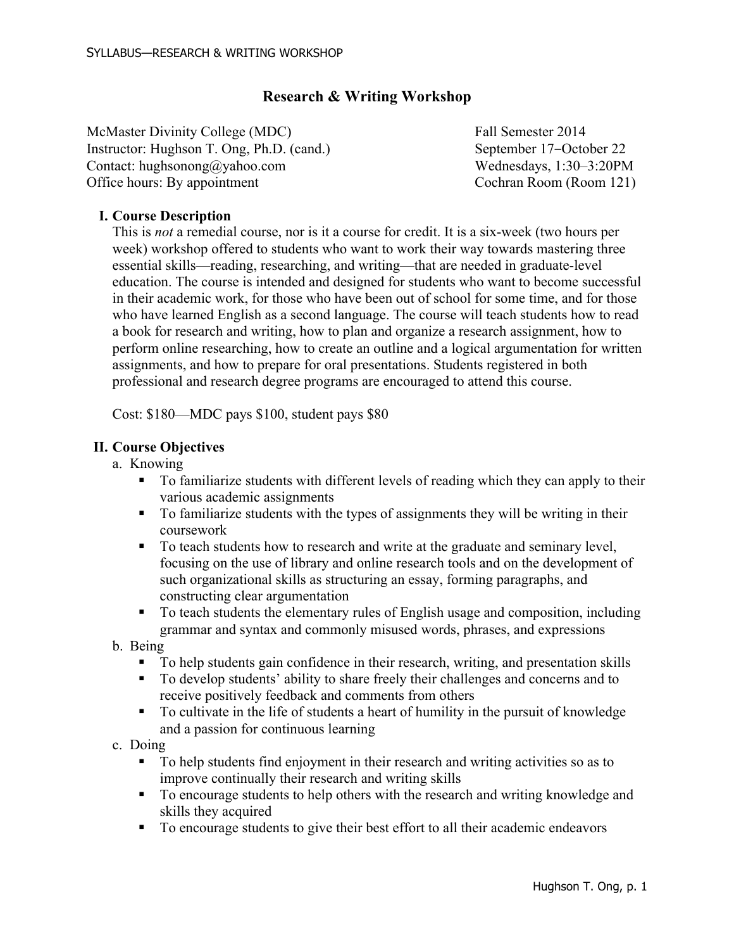# **Research & Writing Workshop**

McMaster Divinity College (MDC) Fall Semester 2014 Instructor: Hughson T. Ong, Ph.D. (cand.) September 17–October 22 Contact: hughsonong@yahoo.com Wednesdays, 1:30–3:20PM Office hours: By appointment Cochran Room (Room 121)

### **I. Course Description**

This is *not* a remedial course, nor is it a course for credit. It is a six-week (two hours per week) workshop offered to students who want to work their way towards mastering three essential skills—reading, researching, and writing—that are needed in graduate-level education. The course is intended and designed for students who want to become successful in their academic work, for those who have been out of school for some time, and for those who have learned English as a second language. The course will teach students how to read a book for research and writing, how to plan and organize a research assignment, how to perform online researching, how to create an outline and a logical argumentation for written assignments, and how to prepare for oral presentations. Students registered in both professional and research degree programs are encouraged to attend this course.

Cost: \$180—MDC pays \$100, student pays \$80

#### **II. Course Objectives**

- a. Knowing
	- ! To familiarize students with different levels of reading which they can apply to their various academic assignments
	- ! To familiarize students with the types of assignments they will be writing in their coursework
	- ! To teach students how to research and write at the graduate and seminary level, focusing on the use of library and online research tools and on the development of such organizational skills as structuring an essay, forming paragraphs, and constructing clear argumentation
	- ! To teach students the elementary rules of English usage and composition, including grammar and syntax and commonly misused words, phrases, and expressions
- b. Being
	- ! To help students gain confidence in their research, writing, and presentation skills
	- ! To develop students' ability to share freely their challenges and concerns and to receive positively feedback and comments from others
	- ! To cultivate in the life of students a heart of humility in the pursuit of knowledge and a passion for continuous learning
- c. Doing
	- ! To help students find enjoyment in their research and writing activities so as to improve continually their research and writing skills
	- ! To encourage students to help others with the research and writing knowledge and skills they acquired
	- ! To encourage students to give their best effort to all their academic endeavors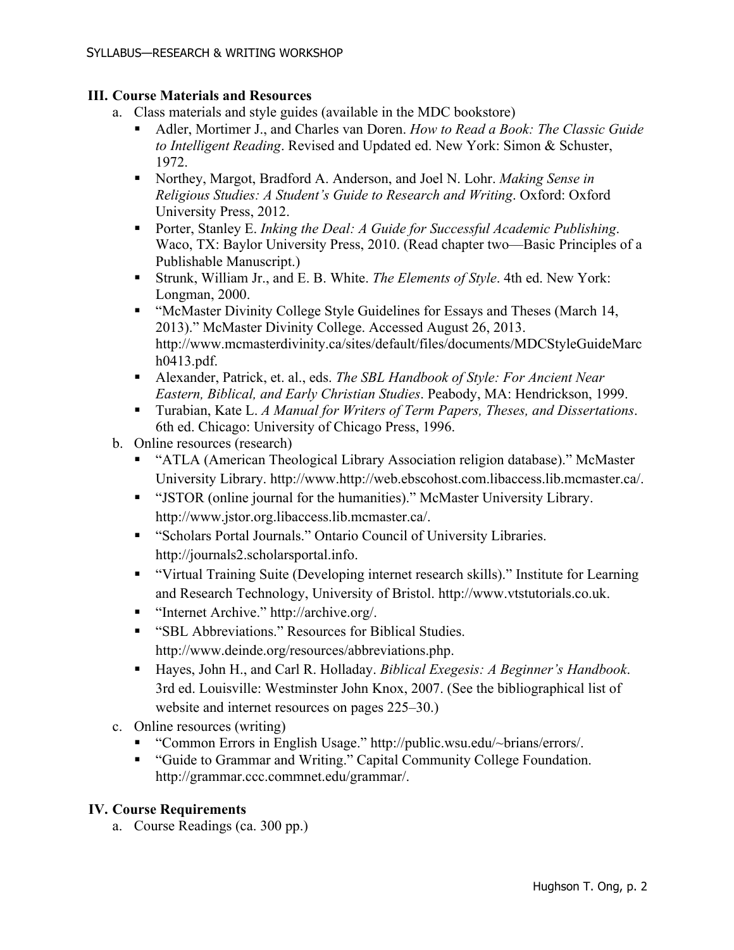### **III. Course Materials and Resources**

- a. Class materials and style guides (available in the MDC bookstore)
	- ! Adler, Mortimer J., and Charles van Doren. *How to Read a Book: The Classic Guide to Intelligent Reading*. Revised and Updated ed. New York: Simon & Schuster, 1972.
	- ! Northey, Margot, Bradford A. Anderson, and Joel N. Lohr. *Making Sense in Religious Studies: A Student's Guide to Research and Writing*. Oxford: Oxford University Press, 2012.
	- ! Porter, Stanley E. *Inking the Deal: A Guide for Successful Academic Publishing*. Waco, TX: Baylor University Press, 2010. (Read chapter two—Basic Principles of a Publishable Manuscript.)
	- ! Strunk, William Jr., and E. B. White. *The Elements of Style*. 4th ed. New York: Longman, 2000.
	- ! "McMaster Divinity College Style Guidelines for Essays and Theses (March 14, 2013)." McMaster Divinity College. Accessed August 26, 2013. http://www.mcmasterdivinity.ca/sites/default/files/documents/MDCStyleGuideMarc h0413.pdf.
	- ! Alexander, Patrick, et. al., eds. *The SBL Handbook of Style: For Ancient Near Eastern, Biblical, and Early Christian Studies*. Peabody, MA: Hendrickson, 1999.
	- ! Turabian, Kate L. *A Manual for Writers of Term Papers, Theses, and Dissertations*. 6th ed. Chicago: University of Chicago Press, 1996.
- b. Online resources (research)
	- ! "ATLA (American Theological Library Association religion database)." McMaster University Library. http://www.http://web.ebscohost.com.libaccess.lib.mcmaster.ca/.
	- ! "JSTOR (online journal for the humanities)." McMaster University Library. http://www.jstor.org.libaccess.lib.mcmaster.ca/.
	- ! "Scholars Portal Journals." Ontario Council of University Libraries. http://journals2.scholarsportal.info.
	- ! "Virtual Training Suite (Developing internet research skills)." Institute for Learning and Research Technology, University of Bristol. http://www.vtstutorials.co.uk.
	- "Internet Archive." http://archive.org/.
	- "SBL Abbreviations." Resources for Biblical Studies. http://www.deinde.org/resources/abbreviations.php.
	- ! Hayes, John H., and Carl R. Holladay. *Biblical Exegesis: A Beginner's Handbook*. 3rd ed. Louisville: Westminster John Knox, 2007. (See the bibliographical list of website and internet resources on pages  $225-30$ .)
- c. Online resources (writing)
	- ! "Common Errors in English Usage." http://public.wsu.edu/~brians/errors/.
	- ! "Guide to Grammar and Writing." Capital Community College Foundation. http://grammar.ccc.commnet.edu/grammar/.

# **IV. Course Requirements**

a. Course Readings (ca. 300 pp.)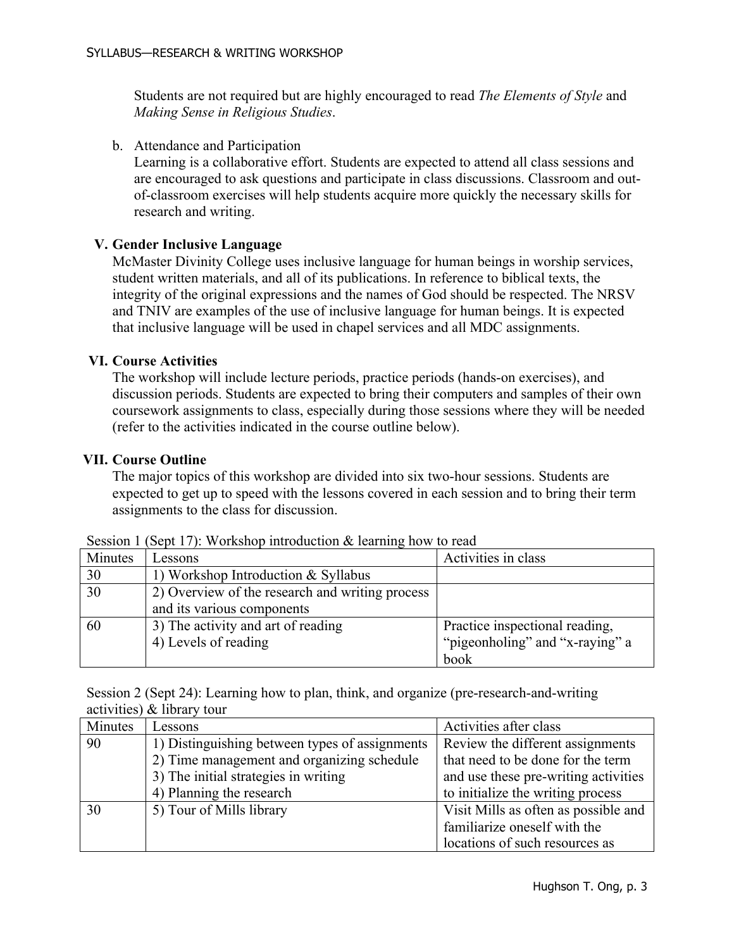Students are not required but are highly encouraged to read *The Elements of Style* and *Making Sense in Religious Studies*.

b. Attendance and Participation

Learning is a collaborative effort. Students are expected to attend all class sessions and are encouraged to ask questions and participate in class discussions. Classroom and outof-classroom exercises will help students acquire more quickly the necessary skills for research and writing.

### **V. Gender Inclusive Language**

McMaster Divinity College uses inclusive language for human beings in worship services, student written materials, and all of its publications. In reference to biblical texts, the integrity of the original expressions and the names of God should be respected. The NRSV and TNIV are examples of the use of inclusive language for human beings. It is expected that inclusive language will be used in chapel services and all MDC assignments.

#### **VI. Course Activities**

The workshop will include lecture periods, practice periods (hands-on exercises), and discussion periods. Students are expected to bring their computers and samples of their own coursework assignments to class, especially during those sessions where they will be needed (refer to the activities indicated in the course outline below).

#### **VII. Course Outline**

The major topics of this workshop are divided into six two-hour sessions. Students are expected to get up to speed with the lessons covered in each session and to bring their term assignments to the class for discussion.

| UVUULUIL |                                                 |                                 |
|----------|-------------------------------------------------|---------------------------------|
| Minutes  | Lessons                                         | Activities in class             |
| 30       | 1) Workshop Introduction $& Syllabus$           |                                 |
| 30       | 2) Overview of the research and writing process |                                 |
|          | and its various components                      |                                 |
| 60       | 3) The activity and art of reading              | Practice inspectional reading,  |
|          | 4) Levels of reading                            | "pigeonholing" and "x-raying" a |
|          |                                                 | book                            |

Session 1 (Sept 17): Workshop introduction  $\&$  learning how to read

Session 2 (Sept 24): Learning how to plan, think, and organize (pre-research-and-writing activities) & library tour

| Minutes | Lessons                                        | Activities after class               |
|---------|------------------------------------------------|--------------------------------------|
| 90      | 1) Distinguishing between types of assignments | Review the different assignments     |
|         | 2) Time management and organizing schedule     | that need to be done for the term    |
|         | 3) The initial strategies in writing           | and use these pre-writing activities |
|         | 4) Planning the research                       | to initialize the writing process    |
| 30      | 5) Tour of Mills library                       | Visit Mills as often as possible and |
|         |                                                | familiarize oneself with the         |
|         |                                                | locations of such resources as       |